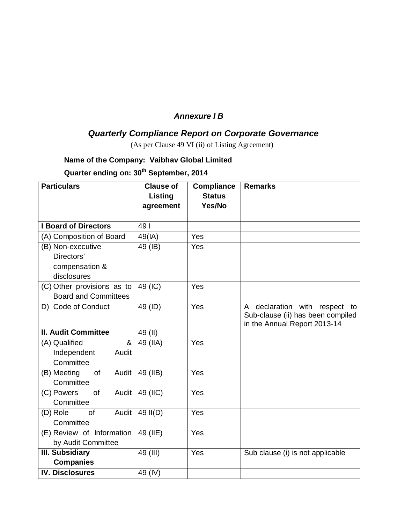## *Annexure I B*

## *Quarterly Compliance Report on Corporate Governance*

(As per Clause 49 VI (ii) of Listing Agreement)

## **Name of the Company: Vaibhav Global Limited**

**Quarter ending on: 30th September, 2014**

| <b>Particulars</b>             | <b>Clause of</b> | <b>Compliance</b> | <b>Remarks</b>                    |
|--------------------------------|------------------|-------------------|-----------------------------------|
|                                | Listing          | <b>Status</b>     |                                   |
|                                | agreement        | Yes/No            |                                   |
|                                |                  |                   |                                   |
| <b>I Board of Directors</b>    | 491              |                   |                                   |
| (A) Composition of Board       | 49(IA)           | Yes               |                                   |
| (B) Non-executive              | 49 (IB)          | Yes               |                                   |
| Directors'                     |                  |                   |                                   |
| compensation &                 |                  |                   |                                   |
| disclosures                    |                  |                   |                                   |
| (C) Other provisions as to     | 49 (IC)          | Yes               |                                   |
| <b>Board and Committees</b>    |                  |                   |                                   |
| D) Code of Conduct             | 49 (ID)          | Yes               | A declaration with respect to     |
|                                |                  |                   | Sub-clause (ii) has been compiled |
| <b>II. Audit Committee</b>     |                  |                   | in the Annual Report 2013-14      |
|                                | 49 (II)          |                   |                                   |
| &<br>(A) Qualified             | 49 (IIA)         | Yes               |                                   |
| Independent<br>Audit           |                  |                   |                                   |
| Committee                      |                  |                   |                                   |
| (B) Meeting<br>of<br>Audit     | 49 (IIB)         | Yes               |                                   |
| Committee                      |                  |                   |                                   |
| of<br>Audit<br>(C) Powers      | 49 (IIC)         | Yes               |                                   |
| Committee                      |                  |                   |                                   |
| (D) Role<br><b>of</b><br>Audit | 49 II(D)         | Yes               |                                   |
| Committee                      |                  |                   |                                   |
| (E) Review of Information      | 49 (IIE)         | Yes               |                                   |
| by Audit Committee             |                  |                   |                                   |
| <b>III. Subsidiary</b>         | 49 (III)         | Yes               | Sub clause (i) is not applicable  |
| <b>Companies</b>               |                  |                   |                                   |
| <b>IV. Disclosures</b>         | 49 (IV)          |                   |                                   |